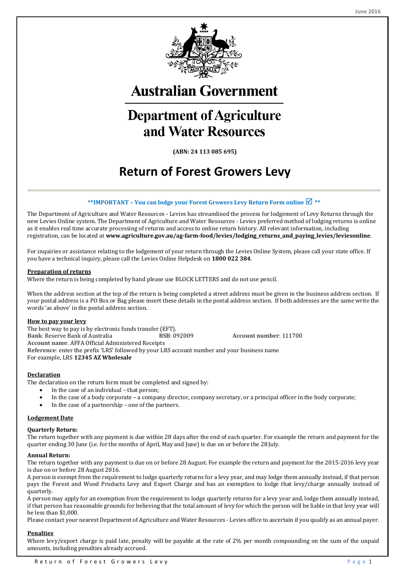

**Australian Government** 

# **Department of Agriculture** and Water Resources

**(ABN: 24 113 085 695)**

# **Return of Forest Growers Levy**

#### **\*\*IMPORTANT – You can lodge your Forest Growers Levy Return Form online \*\***

The Department of Agriculture and Water Resources - Levies has streamlined the process for lodgement of Levy Returns through the new Levies Online system. The Department of Agriculture and Water Resources - Levies preferred method of lodging returns is online as it enables real time accurate processing of returns and access to online return history. All relevant information, including registration, can be located at **www.agriculture.gov.au/ag-farm-food/levies/lodging\_returns\_and\_paying\_levies/leviesonline**.

For inquiries or assistance relating to the lodgement of your return through the Levies Online System, please call your state office. If you have a technical inquiry, please call the Levies Online Helpdesk on **1800 022 384**.

#### **Preparation of returns**

Where the return is being completed by hand please use BLOCK LETTERS and do not use pencil.

When the address section at the top of the return is being completed a street address must be given in the business address section. If your postal address is a PO Box or Bag please insert these details in the postal address section. If both addresses are the same write the words 'as above' in the postal address section.

#### **How to pay your levy**

The best way to pay is by electronic funds transfer (EFT).<br> **Bank**: Reserve Bank of Australia **BSB**: 092009 **Bank: Reserve Bank of Australia <b>BSB**: 092009 **Account number**: 111700 **Account name**: AFFA Official Administered Receipts **Reference**: enter the prefix 'LRS' followed by your LRS account number and your business name For example, LRS **12345 AZ Wholesale**

#### **Declaration**

The declaration on the return form must be completed and signed by:

- In the case of an individual that person;
- In the case of a body corporate a company director, company secretary, or a principal officer in the body corporate;
- In the case of a partnership one of the partners.

#### **Lodgement Date**

#### **Quarterly Return:**

The return together with any payment is due within 28 days after the end of each quarter. For example the return and payment for the quarter ending 30 June (i.e. for the months of April, May and June) is due on or before the 28 July.

#### **Annual Return:**

The return together with any payment is due on or before 28 August. For example the return and payment for the 2015-2016 levy year is due on or before 28 August 2016.

A person is exempt from the requirement to lodge quarterly returns for a levy year, and may lodge them annually instead, if that person pays the Forest and Wood Products Levy and Export Charge and has an exemption to lodge that levy/charge annually instead of quarterly.

A person may apply for an exemption from the requirement to lodge quarterly returns for a levy year and, lodge them annually instead, if that person has reasonable grounds for believing that the total amount of levy for which the person will be liable in that levy year will be less than \$1,000.

Please contact your nearest Department of Agriculture and Water Resources - Levies office to ascertain if you qualify as an annual payer.

#### **Penalties**

Where levy/export charge is paid late, penalty will be payable at the rate of 2% per month compounding on the sum of the unpaid amounts, including penalties already accrued.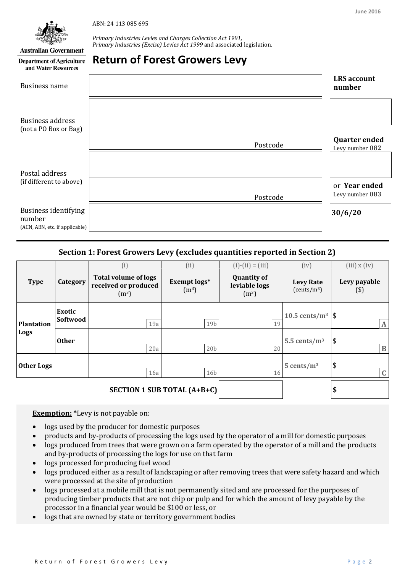ABN: 24 113 085 695



**Australian Government Department of Agriculture**  *Primary Industries Levies and Charges Collection Act 1991, Primary Industries (Excise) Levies Act 1999* and associated legislation.

# **Return of Forest Growers Levy**

| and Water Resources                                              |          |                                         |
|------------------------------------------------------------------|----------|-----------------------------------------|
| <b>Business name</b>                                             |          | <b>LRS</b> account<br>number            |
| <b>Business address</b><br>(not a PO Box or Bag)                 | Postcode | <b>Quarter ended</b><br>Levy number 082 |
| Postal address                                                   |          |                                         |
| (if different to above)                                          | Postcode | or Year ended<br>Levy number 083        |
| Business identifying<br>number<br>(ACN, ABN, etc. if applicable) |          | 30/6/20                                 |

### **Section 1: Forest Growers Levy (excludes quantities reported in Section 2)**

| <b>Type</b>                        | Category                  | (i)<br><b>Total volume of logs</b><br>received or produced<br>(m <sup>3</sup> ) | (ii)<br>Exempt logs*<br>(m <sup>3</sup> ) | $(i) - (ii) = (iii)$<br><b>Quantity of</b><br>leviable logs<br>(m <sup>3</sup> ) | (iv)<br><b>Levy Rate</b><br>(cents/m <sup>3</sup> ) | $(iii)$ x $(iv)$<br>Levy payable<br>$($ \$) |
|------------------------------------|---------------------------|---------------------------------------------------------------------------------|-------------------------------------------|----------------------------------------------------------------------------------|-----------------------------------------------------|---------------------------------------------|
| <b>Plantation</b><br>Logs          | <b>Exotic</b><br>Softwood | 19a                                                                             | 19b                                       | 19                                                                               | 10.5 cents/ $m^3$                                   | \$<br>$\mathbf{A}$                          |
|                                    | <b>Other</b>              | 20a                                                                             | 20 <sub>b</sub>                           | 20                                                                               | 5.5 cents/ $m^3$                                    | $\boldsymbol{\$}$<br>$\bf{B}$               |
| <b>Other Logs</b><br>16a           |                           | 16 <sub>b</sub>                                                                 | 16                                        | $5$ cents/m <sup>3</sup>                                                         | \$<br>$\mathbf C$                                   |                                             |
| <b>SECTION 1 SUB TOTAL (A+B+C)</b> |                           |                                                                                 |                                           |                                                                                  |                                                     | \$                                          |

**Exemption: \***Levy is not payable on:

- logs used by the producer for domestic purposes
- products and by-products of processing the logs used by the operator of a mill for domestic purposes
- logs produced from trees that were grown on a farm operated by the operator of a mill and the products and by-products of processing the logs for use on that farm
- logs processed for producing fuel wood
- logs produced either as a result of landscaping or after removing trees that were safety hazard and which were processed at the site of production
- logs processed at a mobile mill that is not permanently sited and are processed for the purposes of producing timber products that are not chip or pulp and for which the amount of levy payable by the processor in a financial year would be \$100 or less, or
- logs that are owned by state or territory government bodies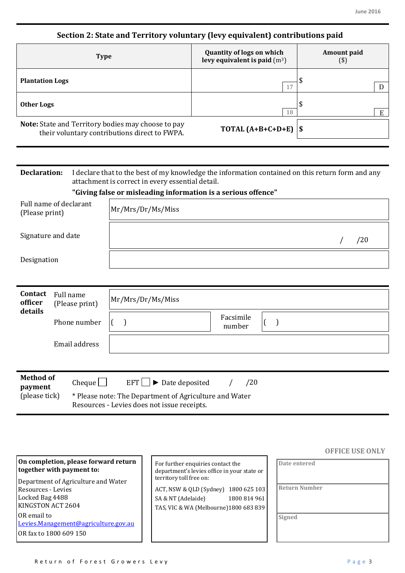# **Section 2: State and Territory voluntary (levy equivalent) contributions paid**

| <b>Type</b>                                                                                         | <b>Quantity of logs on which</b><br>levy equivalent is paid $(m3)$ | Amount paid<br>$(\$)$ |
|-----------------------------------------------------------------------------------------------------|--------------------------------------------------------------------|-----------------------|
| <b>Plantation Logs</b>                                                                              | 17                                                                 |                       |
| <b>Other Logs</b>                                                                                   | 18                                                                 |                       |
| Note: State and Territory bodies may choose to pay<br>their voluntary contributions direct to FWPA. | TOTAL $(A+B+C+D+E)$  \$                                            |                       |

| <b>Declaration:</b>                      |                                                               | I declare that to the best of my knowledge the information contained on this return form and any<br>attachment is correct in every essential detail. |  |  |  |  |
|------------------------------------------|---------------------------------------------------------------|------------------------------------------------------------------------------------------------------------------------------------------------------|--|--|--|--|
|                                          | "Giving false or misleading information is a serious offence" |                                                                                                                                                      |  |  |  |  |
| Full name of declarant<br>(Please print) |                                                               | Mr/Mrs/Dr/Ms/Miss                                                                                                                                    |  |  |  |  |
| Signature and date                       |                                                               | /20                                                                                                                                                  |  |  |  |  |
| Designation                              |                                                               |                                                                                                                                                      |  |  |  |  |
|                                          |                                                               |                                                                                                                                                      |  |  |  |  |
| Contact<br>officer<br>details            | Full name<br>(Please print)                                   | Mr/Mrs/Dr/Ms/Miss                                                                                                                                    |  |  |  |  |
|                                          | Phone number                                                  | Facsimile<br>$\left($<br>$\big)$<br>number                                                                                                           |  |  |  |  |
|                                          | Email address                                                 |                                                                                                                                                      |  |  |  |  |
|                                          |                                                               |                                                                                                                                                      |  |  |  |  |
| <b>Method of</b><br>payment              | Cheque                                                        | EFT    <br>Date deposited<br>/20<br>$\blacktriangleright$                                                                                            |  |  |  |  |
| (please tick)                            |                                                               | * Please note: The Department of Agriculture and Water<br>Resources - Levies does not issue receipts.                                                |  |  |  |  |

|                                                                                                          |                                                                                                                     | <b>OFFICE USE ONLY</b> |
|----------------------------------------------------------------------------------------------------------|---------------------------------------------------------------------------------------------------------------------|------------------------|
| On completion, please forward return<br>together with payment to:<br>Department of Agriculture and Water | For further enquiries contact the<br>department's levies office in your state or<br>territory toll free on:         | Date entered           |
| Resources - Levies<br>Locked Bag 4488<br>KINGSTON ACT 2604                                               | ACT, NSW & QLD (Sydney) 1800 625 103<br>1800 814 961<br>SA & NT (Adelaide)<br>TAS, VIC & WA (Melbourne)1800 683 839 | <b>Return Number</b>   |
| OR email to<br>Levies.Management@agriculture.gov.au<br>OR fax to 1800 609 150                            |                                                                                                                     | Signed                 |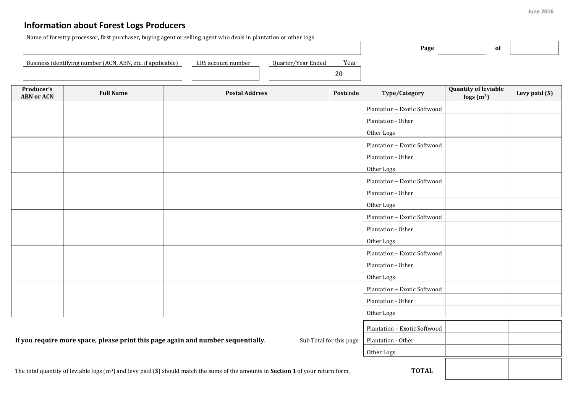# **Information about Forest Logs Producers**

Name of forestry processor, first purchaser, buying agent or selling agent who deals in plantation or other logs

|                                                                                                                                                              |                                                                                                             |                       |                            | Page                         | of                                                        |                |
|--------------------------------------------------------------------------------------------------------------------------------------------------------------|-------------------------------------------------------------------------------------------------------------|-----------------------|----------------------------|------------------------------|-----------------------------------------------------------|----------------|
|                                                                                                                                                              | Business identifying number (ACN, ABN, etc. if applicable)                                                  | LRS account number    | Quarter/Year Ended<br>Year |                              |                                                           |                |
|                                                                                                                                                              |                                                                                                             |                       | 20                         |                              |                                                           |                |
| Producer's<br><b>ABN or ACN</b>                                                                                                                              | <b>Full Name</b>                                                                                            | <b>Postal Address</b> | Postcode                   | Type/Category                | <b>Quantity of leviable</b><br>$\log s$ (m <sup>3</sup> ) | Levy paid (\$) |
|                                                                                                                                                              |                                                                                                             |                       |                            | Plantation - Exotic Softwood |                                                           |                |
|                                                                                                                                                              |                                                                                                             |                       |                            | Plantation - Other           |                                                           |                |
|                                                                                                                                                              |                                                                                                             |                       |                            | Other Logs                   |                                                           |                |
|                                                                                                                                                              |                                                                                                             |                       |                            | Plantation - Exotic Softwood |                                                           |                |
|                                                                                                                                                              |                                                                                                             |                       |                            | Plantation - Other           |                                                           |                |
|                                                                                                                                                              |                                                                                                             |                       |                            | Other Logs                   |                                                           |                |
|                                                                                                                                                              |                                                                                                             |                       |                            | Plantation - Exotic Softwood |                                                           |                |
|                                                                                                                                                              |                                                                                                             |                       |                            | Plantation - Other           |                                                           |                |
|                                                                                                                                                              |                                                                                                             |                       |                            | Other Logs                   |                                                           |                |
|                                                                                                                                                              |                                                                                                             |                       |                            | Plantation - Exotic Softwood |                                                           |                |
|                                                                                                                                                              |                                                                                                             |                       |                            | Plantation - Other           |                                                           |                |
|                                                                                                                                                              |                                                                                                             |                       |                            | Other Logs                   |                                                           |                |
|                                                                                                                                                              |                                                                                                             |                       |                            | Plantation - Exotic Softwood |                                                           |                |
|                                                                                                                                                              |                                                                                                             |                       |                            | Plantation - Other           |                                                           |                |
|                                                                                                                                                              |                                                                                                             |                       |                            | Other Logs                   |                                                           |                |
|                                                                                                                                                              |                                                                                                             |                       |                            | Plantation - Exotic Softwood |                                                           |                |
|                                                                                                                                                              |                                                                                                             |                       |                            | Plantation - Other           |                                                           |                |
|                                                                                                                                                              |                                                                                                             |                       |                            | Other Logs                   |                                                           |                |
|                                                                                                                                                              | If you require more space, please print this page again and number sequentially.<br>Sub Total for this page |                       |                            | Plantation - Exotic Softwood |                                                           |                |
|                                                                                                                                                              |                                                                                                             |                       |                            | Plantation - Other           |                                                           |                |
|                                                                                                                                                              |                                                                                                             |                       |                            | Other Logs                   |                                                           |                |
| <b>TOTAL</b><br>The total quantity of leviable logs $(m^3)$ and levy paid (\$) should match the sums of the amounts in <b>Section 1</b> of your return form. |                                                                                                             |                       |                            |                              |                                                           |                |

 $\mathsf{r}$